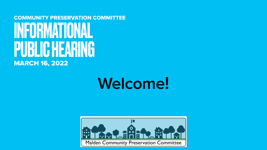### **Welcome!**

#### COMMUNITY PRESERVATION COMMITTEE INFORMATIONAL PUBLIC HEARING MARCH 16, 2022

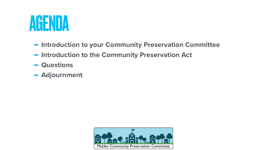## **-Introduction to your Community Preservation Committee**

- 
- $\blacksquare$  **Introduction to the Community Preservation Act**
- **- Questions**
- **- Adjournment**



## AGENDA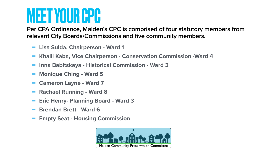**- Khalil Kaba, Vice Chairperson - Conservation Commission -Ward 4** 

- **- Lisa Sulda, Chairperson Ward 1**
- 
- **- Inna Babitskaya Historical Commission Ward 3**
- **- Monique Ching Ward 5**
- **- Cameron Layne Ward 7**
- **- Rachael Running Ward 8**
- **- Eric Henry- Planning Board Ward 3**
- **- Brendan Brett Ward 6**
- **- Empty Seat Housing Commission**



# MEET YOUR CPC

**Per CPA Ordinance, Malden's CPC is comprised of four statutory members from relevant City Boards/Commissions and five community members.**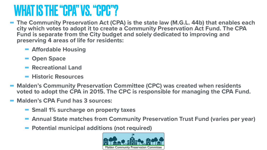#### **- The Community Preservation Act (CPA) is the state law (M.G.L. 44b) that enables each city which votes to adopt it to create a Community Preservation Act Fund. The CPA**

#### **- Malden's Community Preservation Committee (CPC) was created when residents voted to adopt the CPA in 2015. The CPC is responsible for managing the CPA Fund.**

- **Fund is separate from the City budget and solely dedicated to improving and preserving 4 areas of life for residents:** 
	- **- <sup>A</sup>ffordable Housing**
	- **- Open Space**
	- **- Recreational Land**
	- **- Historic Resources**
- 
- **- Malden's CPA Fund has 3 sources:** 
	- **- Small 1% surcharge on property taxes**
	-
	- **- Potential municipal additions (not required)**



**- Annual State matches from Community Preservation Trust Fund (varies per year)** 





### WHAT IS THE "CPA" VS. "CPC"?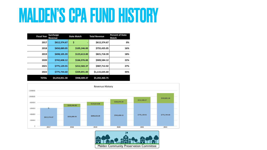# MALDEN'S CPA FUND HISTORY

| <b>Fiscal Year</b> | <b>Surcharge</b><br><b>Revenue</b> | <b>State Match</b> | <b>Total Revenue</b> | <b>Percent of State</b><br><b>Match</b> |
|--------------------|------------------------------------|--------------------|----------------------|-----------------------------------------|
| 2017               | \$612,374.67                       | \$                 | \$612,374.67         | 0%                                      |
| 2018               | \$650,089.05                       | \$105,346.00       | \$755,435.05         | 16%                                     |
| 2019               | \$698,105.39                       | \$123,613.00       | \$821,718.39         | 18%                                     |
| 2020               | \$742,608.12                       | \$166,976.00       | \$909,584.12         | 22%                                     |
| 2021               | \$775,129.55                       | \$212,583.37       | \$987,712.92         | 27%                                     |
| 2022               | \$775,744.60                       | \$339,891.00       | \$1,115,635.60       | 44%                                     |
| <b>TOTAL</b>       | \$4,254,051.38                     | \$948,409.37       | \$5,202,460.75       |                                         |







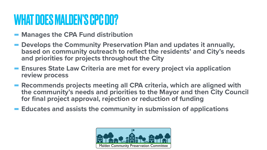### WHAT DOES MALDEN'S CPC DO?

- **- Manages the CPA Fund distribution**
- **- Develops the Community Preservation Plan and updates it annually, based on community outreach to reflect the residents' and City's needs and priorities for projects throughout the City**
- **- Ensures State Law Criteria are met for every project via application review process**
- **- Recommends projects meeting all CPA criteria, which are aligned with the community's needs and priorities to the Mayor and then City Council for final project approval, rejection or reduction of funding**
- **- Educates and assists the community in submission of applications**

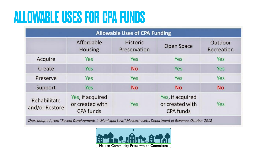### ALLOWABLE USES FOR CPA FUNDS

| <b>Allowable Uses of CPA Funding</b>                    |                                 |                                                         |                       |  |  |  |
|---------------------------------------------------------|---------------------------------|---------------------------------------------------------|-----------------------|--|--|--|
| Affordable<br>Housing                                   | <b>Historic</b><br>Preservation | Open Space                                              | Outdoor<br>Recreation |  |  |  |
| Yes                                                     | Yes                             | Yes                                                     | Yes                   |  |  |  |
| Yes                                                     | <b>No</b>                       | Yes                                                     | Yes                   |  |  |  |
| Yes                                                     | Yes                             | Yes                                                     | Yes                   |  |  |  |
| Yes                                                     | No                              | No                                                      | No                    |  |  |  |
| Yes, if acquired<br>or created with<br><b>CPA funds</b> | Yes                             | Yes, if acquired<br>or created with<br><b>CPA funds</b> | Yes                   |  |  |  |
|                                                         |                                 |                                                         |                       |  |  |  |

Chart adapted from "Recent Developments in Municipal Law," Massachusetts Department of Revenue, October 2012

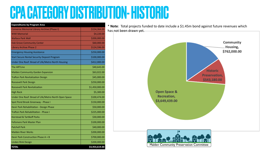## CPA CATEGORY DISTRIBUTION- HISTORIC

| <b>Expenditures by Program Area</b>                  |                |
|------------------------------------------------------|----------------|
| <b>Converse Memorial Library Archive (Phase I)</b>   | \$154,364.00   |
| <b>WWI Memorial</b>                                  | \$4,220.00     |
| <b>Wallace Park Wall</b>                             | \$200,000.00   |
| <b>Oak Grove Community Center</b>                    | \$60,000.00    |
| <b>Library Archive Phase 2</b>                       | \$124,596.00   |
| <b>Emergency Housing Assistance</b>                  | \$250,000.00   |
| <b>Start Secure Rental Security Deposit Program</b>  | \$100,000.00   |
| Under One Roof: Bread of Life/Metro North Housing    | \$412,000.00   |
| <b>The ARTLine</b>                                   | \$40,643.00    |
| <b>Malden Community Garden Expansion</b>             | \$63,022.00    |
| <b>Trafton Park Revitalization Design</b>            | \$45,000.00    |
| Roosevelt Park Design                                | \$250,000.00   |
| <b>Roosevelt Park Revitalization</b>                 | \$1,450,000.00 |
| <b>High Rock</b>                                     | \$5,300.00     |
| Under One Roof: Bread of Life/Metro North Open Space | \$100,474.00   |
| Spot Pond Brook Greenway - Phase I                   | \$150,000.00   |
| Devir Park Rehabilitation - Design Phase             | \$50,000.00    |
| <b>Trafton Park Rehabilitation - Phase I</b>         | \$225,000.00   |
| <b>Kierstead &amp; Tartikoff Parks</b>               | \$30,000.00    |
| <b>Fellsmere Park Master Plan</b>                    | \$100,000.00   |
| <b>Patchell Park</b>                                 | \$40,000.00    |
| <b>Malden River Works</b>                            | \$200,000.00   |
| Devir Park Construction Phase A + B                  | \$700,000.00   |
| Linden Rink Design                                   | \$200,000.00   |
| <b>TOTAL</b>                                         | \$4,954,619.00 |

\* Note: Total projects funded to date include a \$1.45m bond against future revenues which has not been drawn yet.





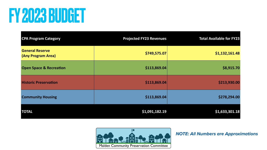# FY 2023 BUDGET

*NOTE: All Numbers are Approximations*



| <b>CPA Program Category</b>                  | <b>Projected FY23 Revenues</b> | <b>Total Available for FY23</b> |
|----------------------------------------------|--------------------------------|---------------------------------|
| <b>General Reserve</b><br>(Any Program Area) | \$749,575.07                   | \$1,132,161.48                  |
| <b>Open Space &amp; Recreation</b>           | \$113,869.04                   | \$8,915.70                      |
| <b>Historic Preservation</b>                 | \$113,869.04                   | \$213,930.00                    |
| <b>Community Housing</b>                     | \$113,869.04                   | \$278,294.00                    |
| <b>TOTAL</b>                                 | \$1,091,182.19                 | \$1,633,301.18                  |

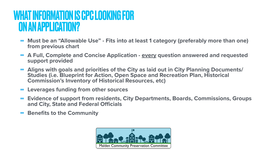- **- Must be an "Allowable Use" Fits into at least 1 category (preferably more than one) from previous chart**
- **- A Full, Complete and Concise Application every question answered and requested support provided**
- **- Aligns with goals and priorities of the City as laid out in City Planning Documents/ Studies (i.e. Blueprint for Action, Open Space and Recreation Plan, Historical Commission's Inventory of Historical Resources, etc)**
- **- Leverages funding from other sources**
- **- Evidence of support from residents, City Departments, Boards, Commissions, Groups and City, State and Federal Officials**
- **- Benefits to the Community**







#### WHAT INFORMATION IS CPC LOOKING FOR ON AN APPLICATION?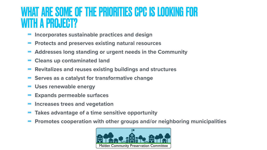- **- Incorporates sustainable practices and design**
- **- Protects and preserves existing natural resources**
- **- Addresses long standing or urgent needs in the Community**
- **- Cleans up contaminated land**
- **- Revitalizes and reuses existing buildings and structures - Serves as a catalyst for transformative change**
- 
- **- Uses renewable energy**
- **- Expands permeable surfaces**
- **- Increases trees and vegetation**
- **- Takes advantage of a time sensitive opportunity**
- **- Promotes cooperation with other groups and/or neighboring municipalities**



#### WHAT ARE SOME OF THE PRIORITIES CPC IS LOOKING FOR WITH A PROJECT?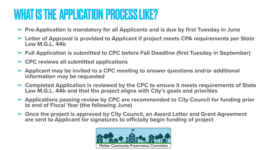- **- Pre-Application is mandatory for all Applicants and is due by first Tuesday in June - Letter of Approval is provided to Applicant if project meets CPA requirements per State**
- **Law M.G.L. 44b**
- 
- **- Full Application is submitted to CPC before Fall Deadline (first Tuesday in September) - CPC reviews all submitted applications**
- **- Applicant may be invited to a CPC meeting to answer questions and/or additional information may be requested**
- **- Completed Application is reviewed by the CPC to ensure it meets requirements of State Law M.G.L. 44b and that the project aligns with City's goals and priorities**
- **- Applications passing review by CPC are recommended to City Council for funding prior to end of Fiscal Year (the following June)**
- **- Once the project is approved by City Council, an Award Letter and Grant Agreement are sent to Applicant for signatures to officially begin funding of project**





### WHAT IS THE APPLICATION PROCESS LIKE?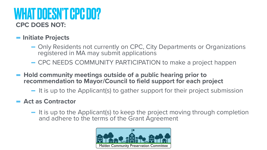- **-Initiate Projects** 
	- registered in MA may submit applications
	-
- **- Hold community meetings outside of a public hearing prior to recommendation to Mayor/Council to field support for each project** 
	-
- **- Act as Contractor** 
	- and adhere to the terms of the Grant Agreement



#### **CPC DOES NOT:**  WHAT DOESN'T CPC DO?

#### - Only Residents not currently on CPC, City Departments or Organizations

- CPC NEEDS COMMUNITY PARTICIPATION to make a project happen

- It is up to the Applicant(s) to gather support for their project submission

- It is up to the Applicant(s) to keep the project moving through completion